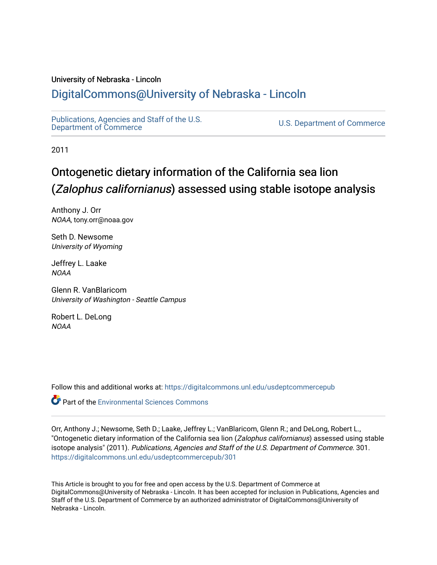#### University of Nebraska - Lincoln

## [DigitalCommons@University of Nebraska - Lincoln](https://digitalcommons.unl.edu/)

[Publications, Agencies and Staff of the U.S.](https://digitalcommons.unl.edu/usdeptcommercepub)

U.S. [Department of Commerce](https://digitalcommons.unl.edu/usdeptcommercepub)

2011

## Ontogenetic dietary information of the California sea lion (Zalophus californianus) assessed using stable isotope analysis

Anthony J. Orr NOAA, tony.orr@noaa.gov

Seth D. Newsome University of Wyoming

Jeffrey L. Laake NOAA

Glenn R. VanBlaricom University of Washington - Seattle Campus

Robert L. DeLong NOAA

Follow this and additional works at: [https://digitalcommons.unl.edu/usdeptcommercepub](https://digitalcommons.unl.edu/usdeptcommercepub?utm_source=digitalcommons.unl.edu%2Fusdeptcommercepub%2F301&utm_medium=PDF&utm_campaign=PDFCoverPages)

**Part of the [Environmental Sciences Commons](http://network.bepress.com/hgg/discipline/167?utm_source=digitalcommons.unl.edu%2Fusdeptcommercepub%2F301&utm_medium=PDF&utm_campaign=PDFCoverPages)** 

Orr, Anthony J.; Newsome, Seth D.; Laake, Jeffrey L.; VanBlaricom, Glenn R.; and DeLong, Robert L., "Ontogenetic dietary information of the California sea lion (Zalophus californianus) assessed using stable isotope analysis" (2011). Publications, Agencies and Staff of the U.S. Department of Commerce. 301. [https://digitalcommons.unl.edu/usdeptcommercepub/301](https://digitalcommons.unl.edu/usdeptcommercepub/301?utm_source=digitalcommons.unl.edu%2Fusdeptcommercepub%2F301&utm_medium=PDF&utm_campaign=PDFCoverPages) 

This Article is brought to you for free and open access by the U.S. Department of Commerce at DigitalCommons@University of Nebraska - Lincoln. It has been accepted for inclusion in Publications, Agencies and Staff of the U.S. Department of Commerce by an authorized administrator of DigitalCommons@University of Nebraska - Lincoln.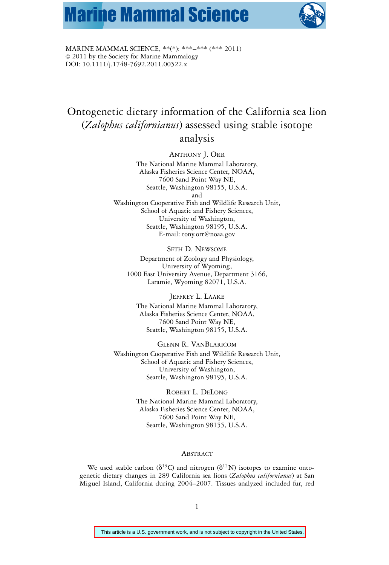# **Marine Mammal Science**



MARINE MAMMAL SCIENCE, \*\*(\*): \*\*\*–\*\*\* (\*\*\* 2011)  $© 2011$  by the Society for Marine Mammalogy DOI: 10.1111/j.1748-7692.2011.00522.x

### Ontogenetic dietary information of the California sea lion (*Zalophus californianus*) assessed using stable isotope analysis

ANTHONY J. ORR

The National Marine Mammal Laboratory, Alaska Fisheries Science Center, NOAA, 7600 Sand Point Way NE, Seattle, Washington 98155, U.S.A. and

Washington Cooperative Fish and Wildlife Research Unit, School of Aquatic and Fishery Sciences, University of Washington, Seattle, Washington 98195, U.S.A. E-mail: tony.orr@noaa.gov

#### SETH D. NEWSOME

Department of Zoology and Physiology, University of Wyoming, 1000 East University Avenue, Department 3166, Laramie, Wyoming 82071, U.S.A.

#### JEFFREY L. LAAKE

The National Marine Mammal Laboratory, Alaska Fisheries Science Center, NOAA, 7600 Sand Point Way NE, Seattle, Washington 98155, U.S.A.

#### GLENN R. VANBLARICOM

Washington Cooperative Fish and Wildlife Research Unit, School of Aquatic and Fishery Sciences, University of Washington, Seattle, Washington 98195, U.S.A.

#### ROBERT L. DELONG

The National Marine Mammal Laboratory, Alaska Fisheries Science Center, NOAA, 7600 Sand Point Way NE, Seattle, Washington 98155, U.S.A.

#### ABSTRACT

We used stable carbon ( $\delta^{13}C$ ) and nitrogen ( $\delta^{15}N$ ) isotopes to examine ontogenetic dietary changes in 289 California sea lions (*Zalophus californianus*) at San Miguel Island, California during 2004–2007. Tissues analyzed included fur, red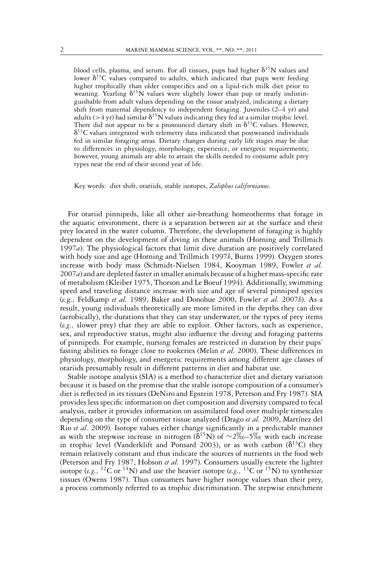blood cells, plasma, and serum. For all tissues, pups had higher  $\delta^{15}N$  values and lower  $\delta^{13}C$  values compared to adults, which indicated that pups were feeding higher trophically than older conspecifics and on a lipid-rich milk diet prior to weaning. Yearling  $\delta^{15}N$  values were slightly lower than pup or nearly indistinguishable from adult values depending on the tissue analyzed, indicating a dietary shift from maternal dependency to independent foraging. Juveniles (2–4 yr) and adults (>4 yr) had similar  $\delta^{15}N$  values indicating they fed at a similar trophic level. There did not appear to be a pronounced dietary shift in  $\delta^{13}C$  values. However,  $\delta^{13}$ C values integrated with telemetry data indicated that postweaned individuals fed in similar foraging areas. Dietary changes during early life stages may be due to differences in physiology, morphology, experience, or energetic requirements; however, young animals are able to attain the skills needed to consume adult prey types near the end of their second year of life.

Key words: diet shift, otariids, stable isotopes, *Zalophus californianus*.

For otariid pinnipeds, like all other air-breathing homeotherms that forage in the aquatic environment, there is a separation between air at the surface and their prey located in the water column. Therefore, the development of foraging is highly dependent on the development of diving in these animals (Horning and Trillmich 1997*a*). The physiological factors that limit dive duration are positively correlated with body size and age (Horning and Trillmich 1997*b*, Burns 1999). Oxygen stores increase with body mass (Schmidt-Nielsen 1984, Kooyman 1989, Fowler *et al.* 2007*a*) and are depleted faster in smaller animals because of a higher mass-specific rate of metabolism (Kleiber 1975, Thorson and Le Boeuf 1994). Additionally, swimming speed and traveling distance increase with size and age of several pinniped species (*e.*g*.,* Feldkamp *et al.* 1989, Baker and Donohue 2000, Fowler *et al.* 2007*b*). As a result, young individuals theoretically are more limited in the depths they can dive (aerobically), the durations that they can stay underwater, or the types of prey items (*e.g.,* slower prey) that they are able to exploit. Other factors, such as experience, sex, and reproductive status, might also influence the diving and foraging patterns of pinnipeds. For example, nursing females are restricted in duration by their pups' fasting abilities to forage close to rookeries (Melin *et al.* 2000). These differences in physiology, morphology, and energetic requirements among different age classes of otariids presumably result in different patterns in diet and habitat use.

Stable isotope analysis (SIA) is a method to characterize diet and dietary variation because it is based on the premise that the stable isotope composition of a consumer's diet is reflected in its tissues (DeNiro and Epstein 1978, Peterson and Fry 1987). SIA provides less specific information on diet composition and diversity compared to fecal analysis, rather it provides information on assimilated food over multiple timescales depending on the type of consumer tissue analyzed (Drago *et al.* 2009, Martínez del Rio *et al*. 2009). Isotope values either change significantly in a predictable manner as with the stepwise increase in nitrogen ( $\delta^{15}$ N) of ∼2\% –5\% with each increase in trophic level (Vanderklift and Ponsard 2003), or as with carbon ( $\delta^{13}C$ ) they remain relatively constant and thus indicate the sources of nutrients in the food web (Peterson and Fry 1987, Hobson *et al.* 1997). Consumers usually excrete the lighter isotope (*e.g.,* <sup>12</sup>C or <sup>14</sup>N) and use the heavier isotope (*e.g.,* <sup>13</sup>C or <sup>15</sup>N) to synthesize tissues (Owens 1987). Thus consumers have higher isotope values than their prey, a process commonly referred to as trophic discrimination. The stepwise enrichment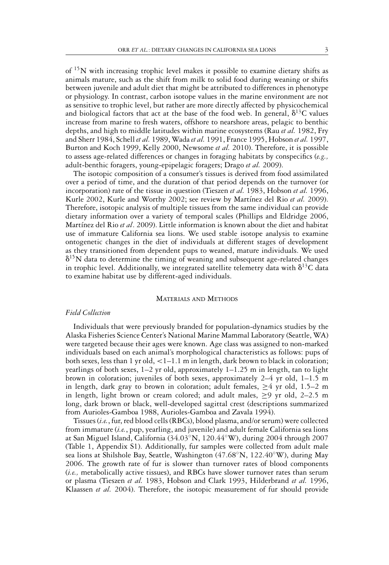of 15N with increasing trophic level makes it possible to examine dietary shifts as animals mature, such as the shift from milk to solid food during weaning or shifts between juvenile and adult diet that might be attributed to differences in phenotype or physiology. In contrast, carbon isotope values in the marine environment are not as sensitive to trophic level, but rather are more directly affected by physicochemical and biological factors that act at the base of the food web. In general,  $\delta^{13}C$  values increase from marine to fresh waters, offshore to nearshore areas, pelagic to benthic depths, and high to middle latitudes within marine ecosystems (Rau *et al.* 1982, Fry and Sherr 1984, Schell *et al.* 1989, Wada*et al.* 1991, France 1995, Hobson *et al.* 1997, Burton and Koch 1999, Kelly 2000, Newsome *et al.* 2010). Therefore, it is possible to assess age-related differences or changes in foraging habitats by conspecifics (*e.g.,* adult-benthic foragers, young-epipelagic foragers; Drago *et al.* 2009).

The isotopic composition of a consumer's tissues is derived from food assimilated over a period of time, and the duration of that period depends on the turnover (or incorporation) rate of the tissue in question (Tieszen *et al.* 1983, Hobson *et al.* 1996, Kurle 2002, Kurle and Worthy 2002; see review by Martínez del Rio et al. 2009). Therefore, isotopic analysis of multiple tissues from the same individual can provide dietary information over a variety of temporal scales (Phillips and Eldridge 2006, Martínez del Rio et al. 2009). Little information is known about the diet and habitat use of immature California sea lions. We used stable isotope analysis to examine ontogenetic changes in the diet of individuals at different stages of development as they transitioned from dependent pups to weaned, mature individuals. We used  $\delta^{15}$ N data to determine the timing of weaning and subsequent age-related changes in trophic level. Additionally, we integrated satellite telemetry data with  $\delta^{13}C$  data to examine habitat use by different-aged individuals.

#### MATERIALS AND METHODS

#### *Field Collection*

Individuals that were previously branded for population-dynamics studies by the Alaska Fisheries Science Center's National Marine Mammal Laboratory (Seattle, WA) were targeted because their ages were known. Age class was assigned to non-marked individuals based on each animal's morphological characteristics as follows: pups of both sexes, less than 1 yr old,  $< 1 - 1.1$  m in length, dark brown to black in coloration; yearlings of both sexes, 1–2 yr old, approximately 1–1.25 m in length, tan to light brown in coloration; juveniles of both sexes, approximately 2–4 yr old, 1–1.5 m in length, dark gray to brown in coloration; adult females,  $\geq 4$  yr old, 1.5–2 m in length, light brown or cream colored; and adult males,  $\geq$ 9 yr old, 2–2.5 m long, dark brown or black, well-developed sagittal crest (descriptions summarized from Aurioles-Gamboa 1988, Aurioles-Gamboa and Zavala 1994).

Tissues (*i.e.*, fur, red blood cells (RBCs), blood plasma, and/or serum) were collected from immature (*i.e.*, pup, yearling, and juvenile) and adult female California sea lions at San Miguel Island, California (34.03◦N, 120.44◦W), during 2004 through 2007 (Table 1, Appendix S1). Additionally, fur samples were collected from adult male sea lions at Shilshole Bay, Seattle, Washington (47.68◦N, 122.40◦W), during May 2006. The growth rate of fur is slower than turnover rates of blood components (*i.e.,* metabolically active tissues), and RBCs have slower turnover rates than serum or plasma (Tieszen *et al.* 1983, Hobson and Clark 1993, Hilderbrand *et al.* 1996, Klaassen *et al.* 2004). Therefore, the isotopic measurement of fur should provide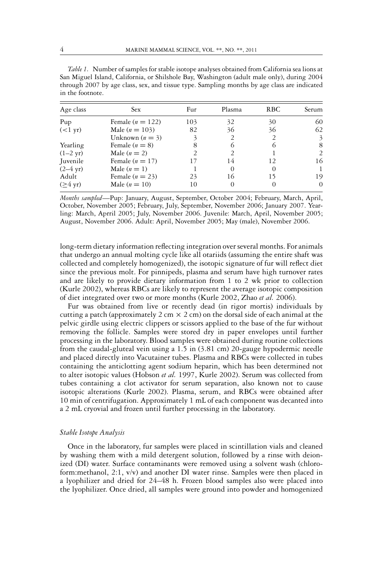| Age class          | <b>Sex</b>             | Fur            | Plasma        | RBC.       | Serum    |
|--------------------|------------------------|----------------|---------------|------------|----------|
| Pup                | Female ( $n = 122$ )   | 103            | 32            | 30         | 60       |
| $(<1$ yr)          | Male ( <i>n</i> = 103) | 82             | 36            | 36         | 62       |
|                    | Unknown $(n = 3)$      | 3              | 2             |            | 3        |
| Yearling           | Female $(n = 8)$       | 8              |               | $\bigcirc$ | 8        |
| $(1-2 \text{ yr})$ | Male $(n=2)$           | $\overline{2}$ | $\mathcal{P}$ |            | 2        |
| Juvenile           | Female $(n = 17)$      | 17             | 14            | 12         | 16       |
| $(2-4 \text{ yr})$ | Male $(n=1)$           |                | $\Omega$      | $\Omega$   | 1        |
| Adult              | Female $(n = 23)$      | 23             | 16            | 15         | 19       |
| $($ >4 yr)         | Male $(n = 10)$        | 10             |               | $\theta$   | $\theta$ |

*Table 1.* Number of samples for stable isotope analyses obtained from California sea lions at San Miguel Island, California, or Shilshole Bay, Washington (adult male only), during 2004 through 2007 by age class, sex, and tissue type. Sampling months by age class are indicated in the footnote.

*Months sampled*—Pup: January, August, September, October 2004; February, March, April, October, November 2005; February, July, September, November 2006; January 2007. Yearling: March, Aprril 2005; July, November 2006. Juvenile: March, April, November 2005; August, November 2006. Adult: April, November 2005; May (male), November 2006.

long-term dietary information reflecting integration over several months. For animals that undergo an annual molting cycle like all otariids (assuming the entire shaft was collected and completely homogenized), the isotopic signature of fur will reflect diet since the previous molt. For pinnipeds, plasma and serum have high turnover rates and are likely to provide dietary information from 1 to 2 wk prior to collection (Kurle 2002), whereas RBCs are likely to represent the average isotopic composition of diet integrated over two or more months (Kurle 2002, Zhao *et al.* 2006).

Fur was obtained from live or recently dead (in rigor mortis) individuals by cutting a patch (approximately 2 cm  $\times$  2 cm) on the dorsal side of each animal at the pelvic girdle using electric clippers or scissors applied to the base of the fur without removing the follicle. Samples were stored dry in paper envelopes until further processing in the laboratory. Blood samples were obtained during routine collections from the caudal-gluteal vein using a 1.5 in (3.81 cm) 20-gauge hypodermic needle and placed directly into Vacutainer tubes. Plasma and RBCs were collected in tubes containing the anticlotting agent sodium heparin, which has been determined not to alter isotopic values (Hobson *et al.* 1997, Kurle 2002). Serum was collected from tubes containing a clot activator for serum separation, also known not to cause isotopic alterations (Kurle 2002). Plasma, serum, and RBCs were obtained after 10 min of centrifugation. Approximately 1 mL of each component was decanted into a 2 mL cryovial and frozen until further processing in the laboratory.

#### *Stable Isotope Analysis*

Once in the laboratory, fur samples were placed in scintillation vials and cleaned by washing them with a mild detergent solution, followed by a rinse with deionized (DI) water. Surface contaminants were removed using a solvent wash (chloroform:methanol, 2:1, v/v) and another DI water rinse. Samples were then placed in a lyophilizer and dried for 24–48 h. Frozen blood samples also were placed into the lyophilizer. Once dried, all samples were ground into powder and homogenized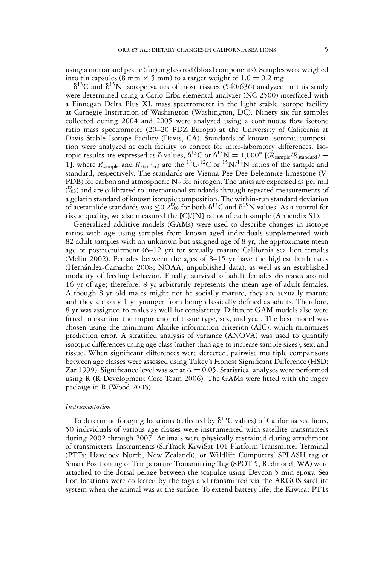using a mortar and pestle (fur) or glass rod (blood components). Samples were weighed into tin capsules (8 mm  $\times$  5 mm) to a target weight of 1.0  $\pm$  0.2 mg.

 $\delta^{13}$ C and  $\delta^{15}$ N isotope values of most tissues (540/636) analyzed in this study were determined using a Carlo-Erba elemental analyzer (NC 2500) interfaced with a Finnegan Delta Plus XL mass spectrometer in the light stable isotope facility at Carnegie Institution of Washington (Washington, DC). Ninety-six fur samples collected during 2004 and 2005 were analyzed using a continuous flow isotope ratio mass spectrometer (20–20 PDZ Europa) at the University of California at Davis Stable Isotope Facility (Davis, CA). Standards of known isotopic composition were analyzed at each facility to correct for inter-laboratory differences. Isotopic results are expressed as  $\delta$  values,  $\delta^{13}C$  or  $\delta^{15}N = 1,000^*$  [( $R_{\text{sample}}/R_{\text{standard}}$ ) – 1], where  $R_{\text{sample}}$  and  $R_{\text{standard}}$  are the <sup>13</sup>C/<sup>12</sup>C or <sup>15</sup>N/<sup>14</sup>N ratios of the sample and standard, respectively. The standards are Vienna-Pee Dee Belemnite limestone (V-PDB) for carbon and atmospheric  $N_2$  for nitrogen. The units are expressed as per mil (-) and are calibrated to international standards through repeated measurements of a gelatin standard of known isotopic composition. The within-run standard deviation of acetanilide standards was  $\leq 0.2\%$  for both  $\delta^{13}C$  and  $\delta^{15}N$  values. As a control for tissue quality, we also measured the [C]/[N] ratios of each sample (Appendix S1).

Generalized additive models (GAMs) were used to describe changes in isotope ratios with age using samples from known-aged individuals supplemented with 82 adult samples with an unknown but assigned age of 8 yr, the approximate mean age of postrecruitment  $(6-12 \text{ yr})$  for sexually mature California sea lion females (Melin 2002). Females between the ages of 8–15 yr have the highest birth rates (Hernandez-Camacho 2008; NOAA, unpublished data), as well as an established ´ modality of feeding behavior. Finally, survival of adult females decreases around 16 yr of age; therefore, 8 yr arbitrarily represents the mean age of adult females. Although 8 yr old males might not be socially mature, they are sexually mature and they are only 1 yr younger from being classically defined as adults. Therefore, 8 yr was assigned to males as well for consistency. Different GAM models also were fitted to examine the importance of tissue type, sex, and year. The best model was chosen using the minimum Akaike information criterion (AIC), which minimizes prediction error. A stratified analysis of variance (ANOVA) was used to quantify isotopic differences using age class (rather than age to increase sample sizes), sex, and tissue. When significant differences were detected, pairwise multiple comparisons between age classes were assessed using Tukey's Honest Significant Difference (HSD; Zar 1999). Significance level was set at  $\alpha = 0.05$ . Statistical analyses were performed using R (R Development Core Team 2006). The GAMs were fitted with the mgcv package in R (Wood 2006).

#### *Instrumentation*

To determine foraging locations (reflected by  $\delta^{13}C$  values) of California sea lions, 50 individuals of various age classes were instrumented with satellite transmitters during 2002 through 2007. Animals were physically restrained during attachment of transmitters. Instruments (SirTrack KiwiSat 101 Platform Transmitter Terminal (PTTs; Havelock North, New Zealand)), or Wildlife Computers' SPLASH tag or Smart Positioning or Temperature Transmitting Tag (SPOT 5; Redmond, WA) were attached to the dorsal pelage between the scapulae using Devcon 5 min epoxy. Sea lion locations were collected by the tags and transmitted via the ARGOS satellite system when the animal was at the surface. To extend battery life, the Kiwisat PTTs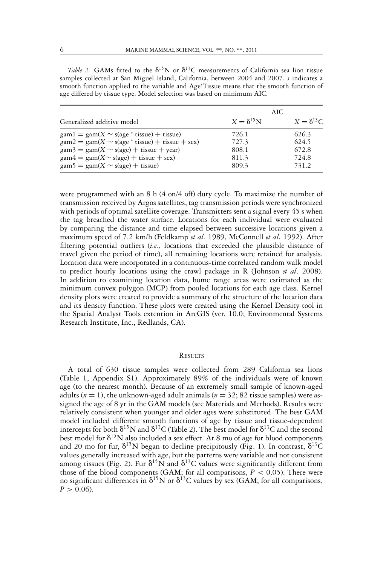Table 2. GAMs fitted to the  $\delta^{15}N$  or  $\delta^{13}C$  measurements of California sea lion tissue samples collected at San Miguel Island, California, between 2004 and 2007. *s* indicates a smooth function applied to the variable and Age<sup>∗</sup> Tissue means that the smooth function of age differed by tissue type. Model selection was based on minimum AIC.

|                                                                                                       |                    | AIC                |
|-------------------------------------------------------------------------------------------------------|--------------------|--------------------|
| Generalized additive model                                                                            | $X = \delta^{15}N$ | $X = \delta^{13}C$ |
| $\text{gam1} = \text{gam}(X \sim s(\text{age}^* \text{ tissue}) + \text{tissue})$                     | 726.1              | 626.3              |
| $\text{gam2} = \text{gam(X} \sim \text{s}(\text{age}^* \text{ tissue}) + \text{tissue} + \text{sex})$ | 727.3              | 624.5              |
| $\text{gam3} = \text{gam(X} \sim \text{s(age)} + \text{tissue} + \text{year})$                        | 808.1              | 672.8              |
| $\text{gam4} = \text{gam(X} \sim \text{s}(\text{age}) + \text{tissue} + \text{sex})$                  | 811.3              | 724.8              |
| $\text{gam } 5 = \text{gam}(X \sim s(\text{age}) + \text{tissue})$                                    | 809.3              | 731.2              |

were programmed with an 8 h (4 on/4 off) duty cycle. To maximize the number of transmission received by Argos satellites, tag transmission periods were synchronized with periods of optimal satellite coverage. Transmitters sent a signal every 45 s when the tag breached the water surface. Locations for each individual were evaluated by comparing the distance and time elapsed between successive locations given a maximum speed of 7.2 km/h (Feldkamp *et al.* 1989, McConnell *et al.* 1992). After filtering potential outliers (*i.e.,* locations that exceeded the plausible distance of travel given the period of time), all remaining locations were retained for analysis. Location data were incorporated in a continuous-time correlated random walk model to predict hourly locations using the crawl package in R (Johnson *et al*. 2008). In addition to examining location data, home range areas were estimated as the minimum convex polygon (MCP) from pooled locations for each age class. Kernel density plots were created to provide a summary of the structure of the location data and its density function. These plots were created using the Kernel Density tool in the Spatial Analyst Tools extention in ArcGIS (ver. 10.0; Environmental Systems Research Institute, Inc., Redlands, CA).

#### **RESULTS**

A total of 630 tissue samples were collected from 289 California sea lions (Table 1, Appendix S1). Approximately 89% of the individuals were of known age (to the nearest month). Because of an extremely small sample of known-aged adults ( $n = 1$ ), the unknown-aged adult animals ( $n = 32$ ; 82 tissue samples) were assigned the age of 8 yr in the GAM models (see Materials and Methods). Results were relatively consistent when younger and older ages were substituted. The best GAM model included different smooth functions of age by tissue and tissue-dependent intercepts for both  $\delta^{15}N$  and  $\delta^{13}C$  (Table 2). The best model for  $\delta^{13}C$  and the second best model for  $\delta^{15}N$  also included a sex effect. At 8 mo of age for blood components and 20 mo for fur,  $\delta^{15}N$  began to decline precipitously (Fig. 1). In contrast,  $\delta^{13}C$ values generally increased with age, but the patterns were variable and not consistent among tissues (Fig. 2). Fur  $\delta^{15}N$  and  $\delta^{13}C$  values were significantly different from those of the blood components (GAM; for all comparisons,  $P < 0.05$ ). There were no significant differences in  $\delta^{15}N$  or  $\delta^{13}C$  values by sex (GAM; for all comparisons,  $P > 0.06$ .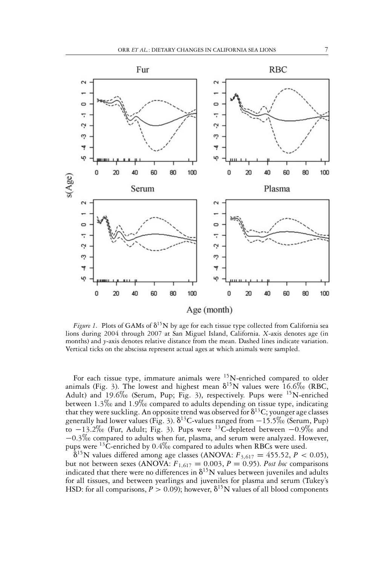

Figure 1. Plots of GAMs of  $\delta^{15}N$  by age for each tissue type collected from California sea lions during 2004 through 2007 at San Miguel Island, California. *X*-axis denotes age (in months) and *y*-axis denotes relative distance from the mean. Dashed lines indicate variation. Vertical ticks on the abscissa represent actual ages at which animals were sampled.

For each tissue type, immature animals were  $15$ N-enriched compared to older animals (Fig. 3). The lowest and highest mean  $\delta^{15}N$  values were  $16.6\%$  (RBC, Adult) and  $19.6\%$  (Serum, Pup; Fig. 3), respectively. Pups were <sup>15</sup>N-enriched between 1.3\% and 1.9\% compared to adults depending on tissue type, indicating<br>that the movement line. As a was linear above the multiple all formes as a constant that they were suckling. An opposite trend was observed for  $\delta^{13}C$ ; younger age classes generally had lower values (Fig. 3).  $\delta^{13}$ C-values ranged from  $-15.5\%$  (Serum, Pup) to  $-13.2\%$  (Fur, Adult; Fig. 3). Pups were <sup>13</sup>C-depleted between  $-0.9\%$  and −0.3‰ compared to adults when fur, plasma, and serum were analyzed. However, pups were <sup>13</sup>C-enriched by 0.4\% compared to adults when RBCs were used.

 $\delta^{15}$ N values differed among age classes (ANOVA:  $F_{3,617} = 455.52$ ,  $P < 0.05$ ), but not between sexes (ANOVA:  $F_{1,617} = 0.003$ ,  $P = 0.95$ ). *Post hoc* comparisons indicated that there were no differences in  $\delta^{15}$ N values between juveniles and adults for all tissues, and between yearlings and juveniles for plasma and serum (Tukey's HSD: for all comparisons,  $P > 0.09$ ); however,  $\delta^{15}N$  values of all blood components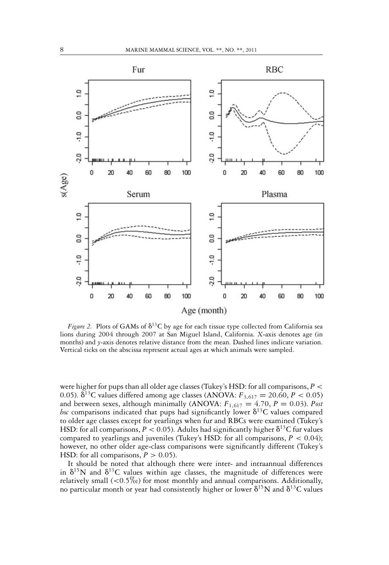

Figure 2. Plots of GAMs of  $\delta^{13}C$  by age for each tissue type collected from California sea lions during 2004 through 2007 at San Miguel Island, California. *X*-axis denotes age (in months) and *y*-axis denotes relative distance from the mean. Dashed lines indicate variation. Vertical ticks on the abscissa represent actual ages at which animals were sampled.

were higher for pups than all older age classes (Tukey's HSD: for all comparisons, *P* < 0.05).  $\delta^{13}$ C values differed among age classes (ANOVA:  $F_{3,617} = 20.60, P < 0.05$ ) and between sexes, although minimally (ANOVA:  $F_{1,617} = 4.70$ ,  $P = 0.03$ ). *Post hoc* comparisons indicated that pups had significantly lower  $\delta^{13}C$  values compared to older age classes except for yearlings when fur and RBCs were examined (Tukey's HSD: for all comparisons,  $P < 0.05$ ). Adults had significantly higher  $\delta^{13}C$  fur values compared to yearlings and juveniles (Tukey's HSD: for all comparisons,  $P < 0.04$ ); however, no other older age-class comparisons were significantly different (Tukey's HSD: for all comparisons,  $P > 0.05$ ).

It should be noted that although there were inter- and intraannual differences in  $\delta^{15}N$  and  $\delta^{13}C$  values within age classes, the magnitude of differences were relatively small  $(< 0.5\%)$  for most monthly and annual comparisons. Additionally, no particular month or year had consistently higher or lower  $\delta^{15}N$  and  $\delta^{13}C$  values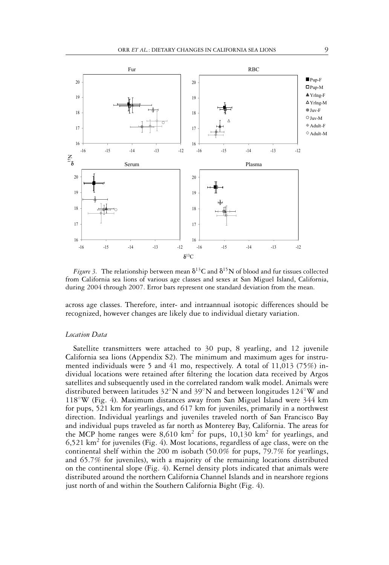

*Figure 3.* The relationship between mean  $\delta^{13}C$  and  $\delta^{15}N$  of blood and fur tissues collected from California sea lions of various age classes and sexes at San Miguel Island, California, during 2004 through 2007. Error bars represent one standard deviation from the mean.

across age classes. Therefore, inter- and intraannual isotopic differences should be recognized, however changes are likely due to individual dietary variation.

#### *Location Data*

Satellite transmitters were attached to 30 pup, 8 yearling, and 12 juvenile California sea lions (Appendix S2). The minimum and maximum ages for instrumented individuals were 5 and 41 mo, respectively. A total of  $11,013$  (75%) individual locations were retained after filtering the location data received by Argos satellites and subsequently used in the correlated random walk model. Animals were distributed between latitudes 32◦N and 39◦N and between longitudes 124◦W and 118◦W (Fig. 4). Maximum distances away from San Miguel Island were 344 km for pups, 521 km for yearlings, and 617 km for juveniles, primarily in a northwest direction. Individual yearlings and juveniles traveled north of San Francisco Bay and individual pups traveled as far north as Monterey Bay, California. The areas for the MCP home ranges were 8,610 km<sup>2</sup> for pups, 10,130 km<sup>2</sup> for yearlings, and  $6,521 \text{ km}^2$  for juveniles (Fig. 4). Most locations, regardless of age class, were on the continental shelf within the 200 m isobath (50.0% for pups, 79.7% for yearlings, and 65.7% for juveniles), with a majority of the remaining locations distributed on the continental slope (Fig. 4). Kernel density plots indicated that animals were distributed around the northern California Channel Islands and in nearshore regions just north of and within the Southern California Bight (Fig. 4).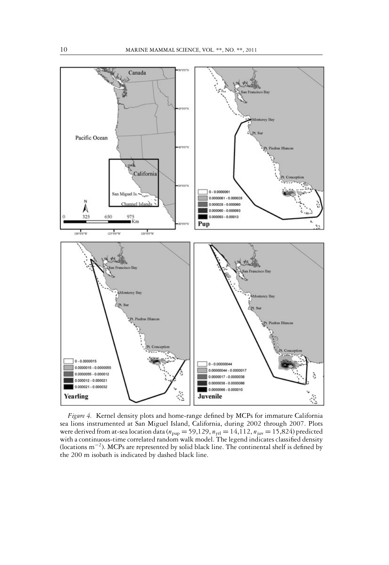

*Figure 4.* Kernel density plots and home-range defined by MCPs for immature California sea lions instrumented at San Miguel Island, California, during 2002 through 2007. Plots were derived from at-sea location data ( $n_{\rm pup} = 59,129, n_{\rm yrl} = 14,112, n_{\rm juv} = 15,824$ ) predicted with a continuous-time correlated random walk model. The legend indicates classified density (locations m−2). MCPs are represented by solid black line. The continental shelf is defined by the 200 m isobath is indicated by dashed black line.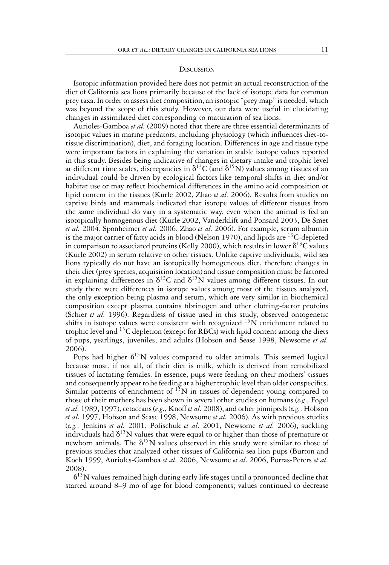#### **DISCUSSION**

Isotopic information provided here does not permit an actual reconstruction of the diet of California sea lions primarily because of the lack of isotope data for common prey taxa. In order to assess diet composition, an isotopic "prey map" is needed, which was beyond the scope of this study. However, our data were useful in elucidating changes in assimilated diet corresponding to maturation of sea lions.

Aurioles-Gamboa *et al.* (2009) noted that there are three essential determinants of isotopic values in marine predators, including physiology (which influences diet-totissue discrimination), diet, and foraging location. Differences in age and tissue type were important factors in explaining the variation in stable isotope values reported in this study. Besides being indicative of changes in dietary intake and trophic level at different time scales, discrepancies in  $\delta^{13}C$  (and  $\delta^{15}N$ ) values among tissues of an individual could be driven by ecological factors like temporal shifts in diet and/or habitat use or may reflect biochemical differences in the amino acid composition or lipid content in the tissues (Kurle 2002, Zhao *et al.* 2006). Results from studies on captive birds and mammals indicated that isotope values of different tissues from the same individual do vary in a systematic way, even when the animal is fed an isotopically homogenous diet (Kurle 2002, Vanderklift and Ponsard 2003, De Smet *et al.* 2004, Sponheimer *et al.* 2006, Zhao *et al.* 2006). For example, serum albumin is the major carrier of fatty acids in blood (Nelson 1970), and lipids are <sup>13</sup>C-depleted in comparison to associated proteins (Kelly 2000), which results in lower  $\delta^{13}C$  values (Kurle 2002) in serum relative to other tissues. Unlike captive individuals, wild sea lions typically do not have an isotopically homogeneous diet, therefore changes in their diet (prey species, acquisition location) and tissue composition must be factored in explaining differences in  $\delta^{13}C$  and  $\delta^{15}N$  values among different tissues. In our study there were differences in isotope values among most of the tissues analyzed, the only exception being plasma and serum, which are very similar in biochemical composition except plasma contains fibrinogen and other clotting-factor proteins (Schier *et al.* 1996). Regardless of tissue used in this study, observed ontogenetic shifts in isotope values were consistent with recognized  ${}^{15}N$  enrichment related to trophic level and  $^{13}C$  depletion (except for RBCs) with lipid content among the diets of pups, yearlings, juveniles, and adults (Hobson and Sease 1998, Newsome *et al.* 2006).

Pups had higher  $\delta^{15}N$  values compared to older animals. This seemed logical because most, if not all, of their diet is milk, which is derived from remobilized tissues of lactating females. In essence, pups were feeding on their mothers' tissues and consequently appear to be feeding at a higher trophic level than older conspecifics. Similar patterns of enrichment of  $15N$  in tissues of dependent young compared to those of their mothers has been shown in several other studies on humans (*e.g*.*,* Fogel *et al.* 1989, 1997), cetaceans (*e.g.,* Knoff *et al.* 2008), and other pinnipeds (*e.g.,* Hobson *et al.* 1997, Hobson and Sease 1998, Newsome *et al.* 2006). As with previous studies (*e.g.,* Jenkins *et al.* 2001, Polischuk *et al.* 2001, Newsome *et al.* 2006), suckling individuals had  $\delta^{15}N$  values that were equal to or higher than those of premature or newborn animals. The  $\delta^{15}N$  values observed in this study were similar to those of previous studies that analyzed other tissues of California sea lion pups (Burton and Koch 1999, Aurioles-Gamboa *et al.* 2006, Newsome *et al.* 2006, Porras-Peters *et al.* 2008).

 $\delta^{15}{\rm N}$  values remained high during early life stages until a pronounced decline that started around 8–9 mo of age for blood components; values continued to decrease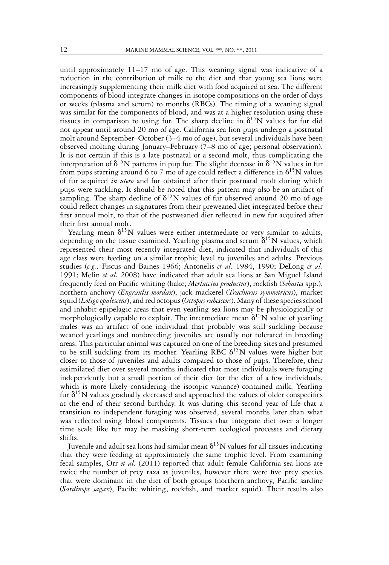until approximately  $11-17$  mo of age. This weaning signal was indicative of a reduction in the contribution of milk to the diet and that young sea lions were increasingly supplementing their milk diet with food acquired at sea. The different components of blood integrate changes in isotope compositions on the order of days or weeks (plasma and serum) to months (RBCs). The timing of a weaning signal was similar for the components of blood, and was at a higher resolution using these tissues in comparison to using fur. The sharp decline in  $\delta^{15}N$  values for fur did not appear until around 20 mo of age. California sea lion pups undergo a postnatal molt around September–October (3–4 mo of age), but several individuals have been observed molting during January–February (7–8 mo of age; personal observation). It is not certain if this is a late postnatal or a second molt, thus complicating the interpretation of  $\delta^{15}N$  patterns in pup fur. The slight decrease in  $\delta^{15}N$  values in fur from pups starting around 6 to 7 mo of age could reflect a difference in  $\delta^{15}N$  values of fur acquired *in utero* and fur obtained after their postnatal molt during which pups were suckling. It should be noted that this pattern may also be an artifact of sampling. The sharp decline of  $\delta^{15}N$  values of fur observed around 20 mo of age could reflect changes in signatures from their preweaned diet integrated before their first annual molt, to that of the postweaned diet reflected in new fur acquired after their first annual molt.

Yearling mean  $\delta^{15}N$  values were either intermediate or very similar to adults, depending on the tissue examined. Yearling plasma and serum  $\delta^{15}N$  values, which represented their most recently integrated diet, indicated that individuals of this age class were feeding on a similar trophic level to juveniles and adults. Previous studies (*e.g.,* Fiscus and Baines 1966; Antonelis *et al.* 1984, 1990; DeLong *et al.* 1991; Melin *et al.* 2008) have indicated that adult sea lions at San Miguel Island frequently feed on Pacific whiting (hake; *Merluccius productus*), rockfish (*Sebastes* spp.), northern anchovy (*Engraulis mordax*), jack mackerel (*Trachurus symmetricus*), market squid (*Loligo opalescens*), and red octopus (*Octopus rubescens*). Many of these species school and inhabit epipelagic areas that even yearling sea lions may be physiologically or morphologically capable to exploit. The intermediate mean  $\delta^{15}N$  value of yearling males was an artifact of one individual that probably was still suckling because weaned yearlings and nonbreeding juveniles are usually not tolerated in breeding areas. This particular animal was captured on one of the breeding sites and presumed to be still suckling from its mother. Yearling RBC  $\delta^{15}N$  values were higher but closer to those of juveniles and adults compared to those of pups. Therefore, their assimilated diet over several months indicated that most individuals were foraging independently but a small portion of their diet (or the diet of a few individuals, which is more likely considering the isotopic variance) contained milk. Yearling fur  $\delta^{15}N$  values gradually decreased and approached the values of older conspecifics at the end of their second birthday. It was during this second year of life that a transition to independent foraging was observed, several months later than what was reflected using blood components. Tissues that integrate diet over a longer time scale like fur may be masking short-term ecological processes and dietary shifts.

Juvenile and adult sea lions had similar mean  $\delta^{15}N$  values for all tissues indicating that they were feeding at approximately the same trophic level. From examining fecal samples, Orr *et al.* (2011) reported that adult female California sea lions ate twice the number of prey taxa as juveniles, however there were five prey species that were dominant in the diet of both groups (northern anchovy, Pacific sardine (*Sardinops sagax*), Pacific whiting, rockfish, and market squid). Their results also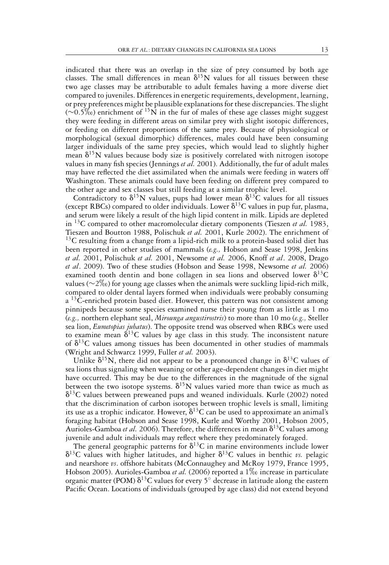indicated that there was an overlap in the size of prey consumed by both age classes. The small differences in mean  $\delta^{15}N$  values for all tissues between these two age classes may be attributable to adult females having a more diverse diet compared to juveniles. Differences in energetic requirements, development, learning, or prey preferences might be plausible explanations for these discrepancies. The slight  $(\sim 0.5\%)$  enrichment of <sup>15</sup>N in the fur of males of these age classes might suggest they were feeding in different areas on similar prey with slight isotopic differences, or feeding on different proportions of the same prey. Because of physiological or morphological (sexual dimorphic) differences, males could have been consuming larger individuals of the same prey species, which would lead to slightly higher mean  $\delta^{15}N$  values because body size is positively correlated with nitrogen isotope values in many fish species (Jennings *et al.* 2001). Additionally, the fur of adult males may have reflected the diet assimilated when the animals were feeding in waters off Washington. These animals could have been feeding on different prey compared to the other age and sex classes but still feeding at a similar trophic level.

Contradictory to  $\delta^{15}N$  values, pups had lower mean  $\delta^{13}C$  values for all tissues (except RBCs) compared to older individuals. Lower  $\delta^{13}C$  values in pup fur, plasma, and serum were likely a result of the high lipid content in milk. Lipids are depleted in  $^{13}$ C compared to other macromolecular dietary components (Tieszen *et al.* 1983, Tieszen and Boutton 1988, Polischuk *et al.* 2001, Kurle 2002). The enrichment of  $13C$  resulting from a change from a lipid-rich milk to a protein-based solid diet has been reported in other studies of mammals (*e.g.,* Hobson and Sease 1998, Jenkins *et al.* 2001, Polischuk *et al.* 2001, Newsome *et al.* 2006, Knoff *et al*. 2008, Drago *et al*. 2009). Two of these studies (Hobson and Sease 1998, Newsome *et al.* 2006) examined tooth dentin and bone collagen in sea lions and observed lower  $\delta^{13}C$ values (∼2-) for young age classes when the animals were suckling lipid-rich milk, compared to older dental layers formed when individuals were probably consuming  $a<sup>13</sup>C$ -enriched protein based diet. However, this pattern was not consistent among pinnipeds because some species examined nurse their young from as little as 1 mo (*e.g.,* northern elephant seal, *Mirounga angustirostris*) to more than 10 mo (*e.g.,* Steller sea lion, *Eumetopias jubatus*). The opposite trend was observed when RBCs were used to examine mean  $\delta^{13}$ C values by age class in this study. The inconsistent nature of  $\delta^{13}$ C values among tissues has been documented in other studies of mammals (Wright and Schwarcz 1999, Fuller *et al.* 2003).

Unlike  $\delta^{15}N$ , there did not appear to be a pronounced change in  $\delta^{13}C$  values of sea lions thus signaling when weaning or other age-dependent changes in diet might have occurred. This may be due to the differences in the magnitude of the signal between the two isotope systems.  $\delta^{15}N$  values varied more than twice as much as  $\delta^{13}$ C values between preweaned pups and weaned individuals. Kurle (2002) noted that the discrimination of carbon isotopes between trophic levels is small, limiting its use as a trophic indicator. However,  $\delta^{13}C$  can be used to approximate an animal's foraging habitat (Hobson and Sease 1998, Kurle and Worthy 2001, Hobson 2005, Aurioles-Gamboa et al. 2006). Therefore, the differences in mean  $\delta^{13}C$  values among juvenile and adult individuals may reflect where they predominately foraged.

The general geographic patterns for  $\delta^{13}C$  in marine environments include lower  $\delta^{13}$ C values with higher latitudes, and higher  $\delta^{13}$ C values in benthic *vs.* pelagic and nearshore *vs*. offshore habitats (McConnaughey and McRoy 1979, France 1995, Hobson 2005). Aurioles-Gamboa *et al.* (2006) reported a 1‰ increase in particulate organic matter (POM)  $\delta^{13}C$  values for every 5° decrease in latitude along the eastern Pacific Ocean. Locations of individuals (grouped by age class) did not extend beyond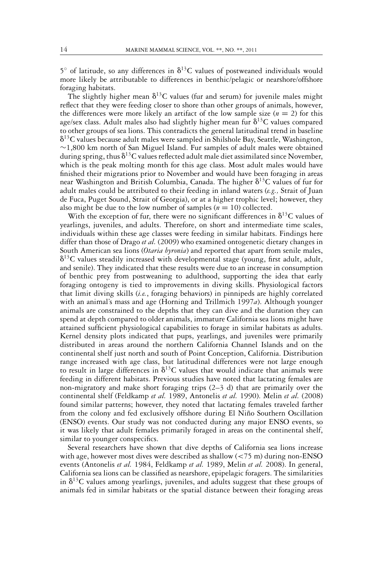5 $^{\circ}$  of latitude, so any differences in  $\delta^{13}C$  values of postweaned individuals would more likely be attributable to differences in benthic/pelagic or nearshore/offshore foraging habitats.

The slightly higher mean  $\delta^{13}C$  values (fur and serum) for juvenile males might reflect that they were feeding closer to shore than other groups of animals, however, the differences were more likely an artifact of the low sample size  $(n = 2)$  for this age/sex class. Adult males also had slightly higher mean fur  $\delta^{13}C$  values compared to other groups of sea lions. This contradicts the general latitudinal trend in baseline  $\delta^{13}$ C values because adult males were sampled in Shilshole Bay, Seattle, Washington, ∼1,800 km north of San Miguel Island. Fur samples of adult males were obtained during spring, thus  $\delta^{13}C$  values reflected adult male diet assimilated since November, which is the peak molting month for this age class. Most adult males would have finished their migrations prior to November and would have been foraging in areas near Washington and British Columbia, Canada. The higher  $\delta^{13}$ C values of fur for adult males could be attributed to their feeding in inland waters (*e.g.,* Strait of Juan de Fuca, Puget Sound, Strait of Georgia), or at a higher trophic level; however, they also might be due to the low number of samples  $(n = 10)$  collected.

With the exception of fur, there were no significant differences in  $\delta^{13}C$  values of yearlings, juveniles, and adults. Therefore, on short and intermediate time scales, individuals within these age classes were feeding in similar habitats. Findings here differ than those of Drago *et al.* (2009) who examined ontogenetic dietary changes in South American sea lions (*Otaria byronia*) and reported that apart from senile males,  $\delta^{13}$ C values steadily increased with developmental stage (young, first adult, adult, and senile). They indicated that these results were due to an increase in consumption of benthic prey from postweaning to adulthood, supporting the idea that early foraging ontogeny is tied to improvements in diving skills. Physiological factors that limit diving skills (*i.e.*, foraging behaviors) in pinnipeds are highly correlated with an animal's mass and age (Horning and Trillmich 1997*a*). Although younger animals are constrained to the depths that they can dive and the duration they can spend at depth compared to older animals, immature California sea lions might have attained sufficient physiological capabilities to forage in similar habitats as adults. Kernel density plots indicated that pups, yearlings, and juveniles were primarily distributed in areas around the northern California Channel Islands and on the continental shelf just north and south of Point Conception, California. Distribution range increased with age class, but latitudinal differences were not large enough to result in large differences in  $\delta^{13}C$  values that would indicate that animals were feeding in different habitats. Previous studies have noted that lactating females are non-migratory and make short foraging trips (2–3 d) that are primarily over the continental shelf (Feldkamp *et al.* 1989, Antonelis *et al.* 1990). Melin *et al.* (2008) found similar patterns; however, they noted that lactating females traveled farther from the colony and fed exclusively offshore during El Niño Southern Oscillation (ENSO) events. Our study was not conducted during any major ENSO events, so it was likely that adult females primarily foraged in areas on the continental shelf, similar to younger conspecifics.

Several researchers have shown that dive depths of California sea lions increase with age, however most dives were described as shallow  $\left( \langle 75 \rangle \text{m} \right)$  during non-ENSO events (Antonelis *et al.* 1984, Feldkamp *et al.* 1989, Melin *et al.* 2008). In general, California sea lions can be classified as nearshore, epipelagic foragers. The similarities in  $\delta^{13}$ C values among yearlings, juveniles, and adults suggest that these groups of animals fed in similar habitats or the spatial distance between their foraging areas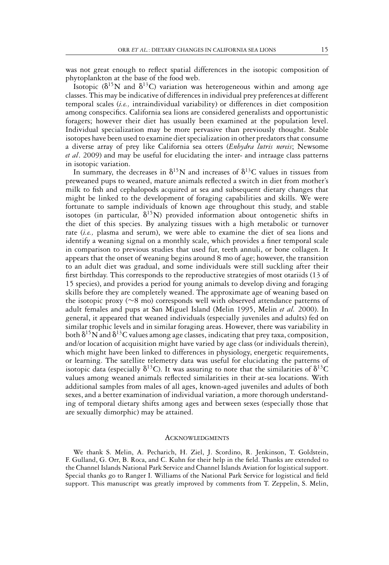was not great enough to reflect spatial differences in the isotopic composition of phytoplankton at the base of the food web.

Isotopic ( $\delta^{15}N$  and  $\delta^{13}C$ ) variation was heterogeneous within and among age classes. This may be indicative of differences in individual prey preferences at different temporal scales (*i.e.,* intraindividual variability) or differences in diet composition among conspecifics. California sea lions are considered generalists and opportunistic foragers; however their diet has usually been examined at the population level. Individual specialization may be more pervasive than previously thought. Stable isotopes have been used to examine diet specialization in other predators that consume a diverse array of prey like California sea otters (*Enhydra lutris nereis*; Newsome *et al*. 2009) and may be useful for elucidating the inter- and intraage class patterns in isotopic variation.

In summary, the decreases in  $\delta^{15}N$  and increases of  $\delta^{13}C$  values in tissues from preweaned pups to weaned, mature animals reflected a switch in diet from mother's milk to fish and cephalopods acquired at sea and subsequent dietary changes that might be linked to the development of foraging capabilities and skills. We were fortunate to sample individuals of known age throughout this study, and stable isotopes (in particular,  $\delta^{15}N$ ) provided information about ontogenetic shifts in the diet of this species. By analyzing tissues with a high metabolic or turnover rate (*i.e.,* plasma and serum), we were able to examine the diet of sea lions and identify a weaning signal on a monthly scale, which provides a finer temporal scale in comparison to previous studies that used fur, teeth annuli, or bone collagen. It appears that the onset of weaning begins around 8 mo of age; however, the transition to an adult diet was gradual, and some individuals were still suckling after their first birthday. This corresponds to the reproductive strategies of most otariids (13 of 15 species), and provides a period for young animals to develop diving and foraging skills before they are completely weaned. The approximate age of weaning based on the isotopic proxy (∼8 mo) corresponds well with observed attendance patterns of adult females and pups at San Miguel Island (Melin 1995, Melin *et al.* 2000). In general, it appeared that weaned individuals (especially juveniles and adults) fed on similar trophic levels and in similar foraging areas. However, there was variability in both  $\delta^{15}{\rm N}$  and  $\delta^{13}{\rm C}$  values among age classes, indicating that prey taxa, composition, and/or location of acquisition might have varied by age class (or individuals therein), which might have been linked to differences in physiology, energetic requirements, or learning. The satellite telemetry data was useful for elucidating the patterns of isotopic data (especially  $\delta^{13}C$ ). It was assuring to note that the similarities of  $\delta^{13}C$ values among weaned animals reflected similarities in their at-sea locations. With additional samples from males of all ages, known-aged juveniles and adults of both sexes, and a better examination of individual variation, a more thorough understanding of temporal dietary shifts among ages and between sexes (especially those that are sexually dimorphic) may be attained.

#### **ACKNOWLEDGMENTS**

We thank S. Melin, A. Pecharich, H. Ziel, J. Scordino, R. Jenkinson, T. Goldstein, F. Gulland, G. Orr, B. Roca, and C. Kuhn for their help in the field. Thanks are extended to the Channel Islands National Park Service and Channel Islands Aviation for logistical support. Special thanks go to Ranger I. Williams of the National Park Service for logistical and field support. This manuscript was greatly improved by comments from T. Zeppelin, S. Melin,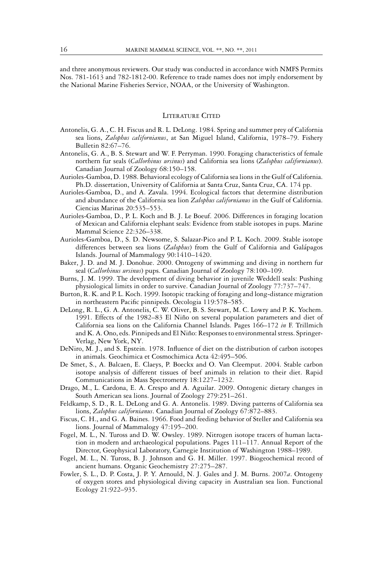and three anonymous reviewers. Our study was conducted in accordance with NMFS Permits Nos. 781-1613 and 782-1812-00. Reference to trade names does not imply endorsement by the National Marine Fisheries Service, NOAA, or the University of Washington.

#### LITERATURE CITED

- Antonelis, G. A., C. H. Fiscus and R. L. DeLong. 1984. Spring and summer prey of California sea lions, *Zalophus californianus*, at San Miguel Island, California, 1978–79. Fishery Bulletin 82:67–76.
- Antonelis, G. A., B. S. Stewart and W. F. Perryman. 1990. Foraging characteristics of female northern fur seals (*Callorhinus ursinus*) and California sea lions (*Zalophus californianus*). Canadian Journal of Zoology 68:150–158.
- Aurioles-Gamboa, D. 1988. Behavioral ecology of California sea lions in the Gulf of California. Ph.D. dissertation, University of California at Santa Cruz, Santa Cruz, CA. 174 pp.
- Aurioles-Gamboa, D., and A. Zavala. 1994. Ecological factors that determine distribution and abundance of the California sea lion *Zalophus californianus* in the Gulf of California. Ciencias Marinas 20:535–553.
- Aurioles-Gamboa, D., P. L. Koch and B. J. Le Boeuf. 2006. Differences in foraging location of Mexican and California elephant seals: Evidence from stable isotopes in pups. Marine Mammal Science 22:326–338.
- Aurioles-Gamboa, D., S. D. Newsome, S. Salazar-Pico and P. L. Koch. 2009. Stable isotope differences between sea lions (Zalophus) from the Gulf of California and Galápagos Islands. Journal of Mammalogy 90:1410–1420.
- Baker, J. D. and M. J. Donohue. 2000. Ontogeny of swimming and diving in northern fur seal (*Callorhinus ursinus*) pups. Canadian Journal of Zoology 78:100–109.
- Burns, J. M. 1999. The development of diving behavior in juvenile Weddell seals: Pushing physiological limits in order to survive. Canadian Journal of Zoology 77:737–747.
- Burton, R. K. and P. L. Koch. 1999. Isotopic tracking of foraging and long-distance migration in northeastern Pacific pinnipeds. Oecologia 119:578–585.
- DeLong, R. L., G. A. Antonelis, C. W. Oliver, B. S. Stewart, M. C. Lowry and P. K. Yochem. 1991. Effects of the 1982–83 El Niño on several population parameters and diet of California sea lions on the California Channel Islands. Pages 166–172 *in* F. Trillmich and K. A. Ono, eds. Pinnipeds and El Niño: Responses to environmental stress. Springer-Verlag, New York, NY.
- DeNiro, M. J., and S. Epstein. 1978. Influence of diet on the distribution of carbon isotopes in animals. Geochimica et Cosmochimica Acta 42:495–506.
- De Smet, S., A. Balcaen, E. Claeys, P. Boeckx and O. Van Cleemput. 2004. Stable carbon isotope analysis of different tissues of beef animals in relation to their diet. Rapid Communications in Mass Spectrometry 18:1227–1232.
- Drago, M., L. Cardona, E. A. Crespo and A. Aguilar. 2009. Ontogenic dietary changes in South American sea lions. Journal of Zoology 279:251–261.
- Feldkamp, S. D., R. L. DeLong and G. A. Antonelis. 1989. Diving patterns of California sea lions, *Zalophus californianus*. Canadian Journal of Zoology 67:872–883.
- Fiscus, C. H., and G. A. Baines. 1966. Food and feeding behavior of Steller and California sea lions. Journal of Mammalogy 47:195–200.
- Fogel, M. L., N. Tuross and D. W. Owsley. 1989. Nitrogen isotope tracers of human lactation in modern and archaeological populations. Pages 111–117. Annual Report of the Director, Geophysical Laboratory, Carnegie Institution of Washington 1988–1989.
- Fogel, M. L., N. Tuross, B. J. Johnson and G. H. Miller. 1997. Biogeochemical record of ancient humans. Organic Geochemistry 27:275–287.
- Fowler, S. L., D. P. Costa, J. P. Y. Arnould, N. J. Gales and J. M. Burns. 2007*a*. Ontogeny of oxygen stores and physiological diving capacity in Australian sea lion. Functional Ecology 21:922–935.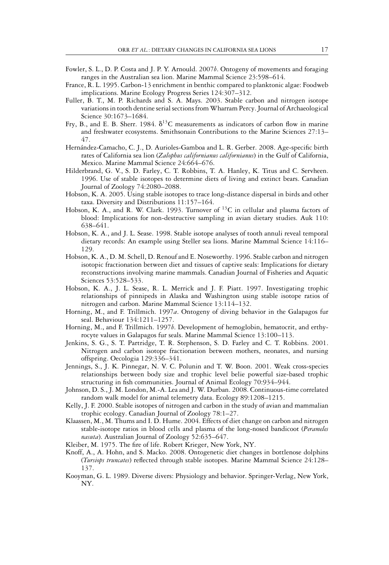- Fowler, S. L., D. P. Costa and J. P. Y. Arnould. 2007*b*. Ontogeny of movements and foraging ranges in the Australian sea lion. Marine Mammal Science 23:598–614.
- France, R. L. 1995. Carbon-13 enrichment in benthic compared to planktonic algae: Foodweb implications. Marine Ecology Progress Series 124:307–312.
- Fuller, B. T., M. P. Richards and S. A. Mays. 2003. Stable carbon and nitrogen isotope variations in tooth dentine serial sections fromWharram Percy. Journal of Archaeological Science 30:1673–1684.
- Fry, B., and E. B. Sherr. 1984.  $\delta^{13}C$  measurements as indicators of carbon flow in marine and freshwater ecosystems. Smithsonain Contributions to the Marine Sciences 27:13– 47.
- Hernández-Camacho, C. J., D. Aurioles-Gamboa and L. R. Gerber. 2008. Age-specific birth rates of California sea lion (*Zalophus californianus californianus*) in the Gulf of California, Mexico. Marine Mammal Science 24:664–676.
- Hilderbrand, G. V., S. D. Farley, C. T. Robbins, T. A. Hanley, K. Titus and C. Servheen. 1996. Use of stable isotopes to determine diets of living and extinct bears. Canadian Journal of Zoology 74:2080–2088.
- Hobson, K. A. 2005. Using stable isotopes to trace long-distance dispersal in birds and other taxa. Diversity and Distributions 11:157–164.
- Hobson, K. A., and R. W. Clark. 1993. Turnover of  $^{13}C$  in cellular and plasma factors of blood: Implications for non-destructive sampling in avian dietary studies. Auk 110: 638–641.
- Hobson, K. A., and J. L. Sease. 1998. Stable isotope analyses of tooth annuli reveal temporal dietary records: An example using Steller sea lions. Marine Mammal Science 14:116– 129.
- Hobson, K. A., D. M. Schell, D. Renouf and E. Noseworthy. 1996. Stable carbon and nitrogen isotopic fractionation between diet and tissues of captive seals: Implications for dietary reconstructions involving marine mammals. Canadian Journal of Fisheries and Aquatic Sciences 53:528–533.
- Hobson, K. A., J. L. Sease, R. L. Merrick and J. F. Piatt. 1997. Investigating trophic relationships of pinnipeds in Alaska and Washington using stable isotope ratios of nitrogen and carbon. Marine Mammal Science 13:114–132.
- Horning, M., and F. Trillmich. 1997*a*. Ontogeny of diving behavior in the Galapagos fur seal. Behaviour 134:1211–1257.
- Horning, M., and F. Trillmich. 1997*b*. Development of hemoglobin, hematocrit, and erthyrocyte values in Galapagos fur seals. Marine Mammal Science 13:100–113.
- Jenkins, S. G., S. T. Partridge, T. R. Stephenson, S. D. Farley and C. T. Robbins. 2001. Nitrogen and carbon isotope fractionation between mothers, neonates, and nursing offspring. Oecologia 129:336–341.
- Jennings, S., J. K. Pinnegar, N. V. C. Polunin and T. W. Boon. 2001. Weak cross-species relationships between body size and trophic level belie powerful size-based trophic structuring in fish communities. Journal of Animal Ecology 70:934–944.
- Johnson, D. S., J. M. London, M.-A. Lea and J. W. Durban. 2008. Continuous-time correlated random walk model for animal telemetry data. Ecology 89:1208–1215.
- Kelly, J. F. 2000. Stable isotopes of nitrogen and carbon in the study of avian and mammalian trophic ecology. Canadian Journal of Zoology 78:1–27.
- Klaassen, M., M. Thums and I. D. Hume. 2004. Effects of diet change on carbon and nitrogen stable-isotope ratios in blood cells and plasma of the long-nosed bandicoot (*Perameles nasuta*). Australian Journal of Zoology 52:635–647.
- Kleiber, M. 1975. The fire of life. Robert Krieger, New York, NY.
- Knoff, A., A. Hohn, and S. Macko. 2008. Ontogenetic diet changes in bottlenose dolphins (*Tursiops truncates*) reflected through stable isotopes. Marine Mammal Science 24:128– 137.
- Kooyman, G. L. 1989. Diverse divers: Physiology and behavior. Springer-Verlag, New York, NY.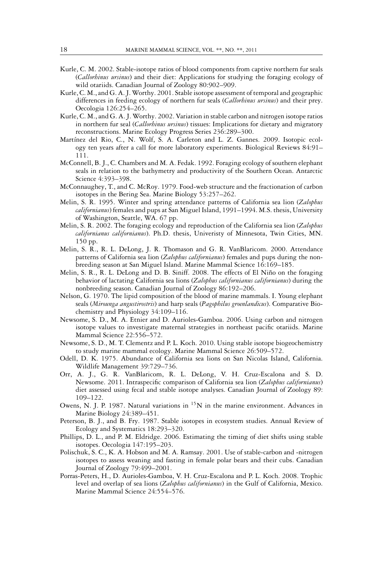- Kurle, C. M. 2002. Stable-isotope ratios of blood components from captive northern fur seals (*Callorhinus ursinus*) and their diet: Applications for studying the foraging ecology of wild otariids. Canadian Journal of Zoology 80:902–909.
- Kurle, C. M., and G. A. J.Worthy. 2001. Stable isotope assessment of temporal and geographic differences in feeding ecology of northern fur seals (*Callorhinus ursinus*) and their prey. Oecologia 126:254–265.
- Kurle, C. M., and G. A. J. Worthy. 2002. Variation in stable carbon and nitrogen isotope ratios in northern fur seal (*Callorhinus ursinus*) tissues: Implications for dietary and migratory reconstructions. Marine Ecology Progress Series 236:289–300.
- Martínez del Rio, C., N. Wolf, S. A. Carleton and L. Z. Gannes. 2009. Isotopic ecology ten years after a call for more laboratory experiments. Biological Reviews 84:91– 111.
- McConnell, B. J., C. Chambers and M. A. Fedak. 1992. Foraging ecology of southern elephant seals in relation to the bathymetry and productivity of the Southern Ocean. Antarctic Science 4:393–398.
- McConnaughey, T., and C. McRoy. 1979. Food-web structure and the fractionation of carbon isotopes in the Bering Sea. Marine Biology 53:257–262.
- Melin, S. R. 1995. Winter and spring attendance patterns of California sea lion (*Zalophus californianus*) females and pups at San Miguel Island, 1991–1994. M.S. thesis, University of Washington, Seattle, WA. 67 pp.
- Melin, S. R. 2002. The foraging ecology and reproduction of the California sea lion (*Zalophus californianus californianus*). Ph.D. thesis, Univeristy of Minnesota, Twin Cities, MN. 150 pp.
- Melin, S. R., R. L. DeLong, J. R. Thomason and G. R. VanBlaricom. 2000. Attendance patterns of California sea lion (*Zalophus californianus*) females and pups during the nonbreeding season at San Miguel Island. Marine Mammal Science 16:169–185.
- Melin, S. R., R. L. DeLong and D. B. Siniff. 2008. The effects of El Niño on the foraging behavior of lactating California sea lions (*Zalophus californianus californianus*) during the nonbreeding season. Canadian Journal of Zoology 86:192–206.
- Nelson, G. 1970. The lipid composition of the blood of marine mammals. I. Young elephant seals (*Mirounga angustirostris*) and harp seals (*Pagophilus groenlandicus*). Comparative Biochemistry and Physiology 34:109–116.
- Newsome, S. D., M. A. Etnier and D. Aurioles-Gamboa. 2006. Using carbon and nitrogen isotope values to investigate maternal strategies in northeast pacific otariids. Marine Mammal Science 22:556–572.
- Newsome, S. D., M. T. Clementz and P. L. Koch. 2010. Using stable isotope biogeochemistry to study marine mammal ecology. Marine Mammal Science 26:509–572.
- Odell, D. K. 1975. Abundance of California sea lions on San Nicolas Island, California. Wildlife Management 39:729–736.
- Orr, A. J., G. R. VanBlaricom, R. L. DeLong, V. H. Cruz-Escalona and S. D. Newsome. 2011. Intraspecific comparison of California sea lion (*Zalophus californianus*) diet assessed using fecal and stable isotope analyses. Canadian Journal of Zoology 89: 109–122.
- Owens, N. J. P. 1987. Natural variations in  ${}^{15}N$  in the marine environment. Advances in Marine Biology 24:389–451.
- Peterson, B. J., and B. Fry. 1987. Stable isotopes in ecosystem studies. Annual Review of Ecology and Systematics 18:293–320.
- Phillips, D. L., and P. M. Eldridge. 2006. Estimating the timing of diet shifts using stable isotopes. Oecologia 147:195–203.
- Polischuk, S. C., K. A. Hobson and M. A. Ramsay. 2001. Use of stable-carbon and -nitrogen isotopes to assess weaning and fasting in female polar bears and their cubs. Canadian Journal of Zoology 79:499–2001.
- Porras-Peters, H., D. Aurioles-Gamboa, V. H. Cruz-Escalona and P. L. Koch. 2008. Trophic level and overlap of sea lions (*Zalophus californianus*) in the Gulf of California, Mexico. Marine Mammal Science 24:554–576.